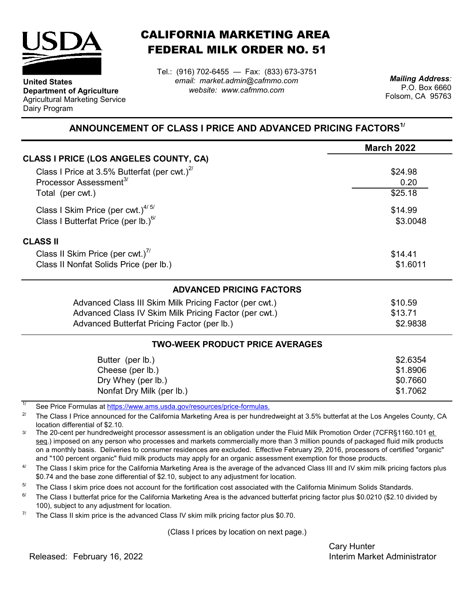

**Department of Agriculture** Agricultural Marketing Service

**United States**

Dairy Program

CALIFORNIA MARKETING AREA FEDERAL MILK ORDER NO. 51

*email: market.admin@cafmmo.com website: www.cafmmo.com* Tel.: (916) 702-6455 — Fax: (833) 673-3751 *Mailing Address:*

P.O. Box 6660 Folsom, CA 95763

## **ANNOUNCEMENT OF CLASS I PRICE AND ADVANCED PRICING FACTORS1/**

|                                                        | <b>March 2022</b> |
|--------------------------------------------------------|-------------------|
| <b>CLASS I PRICE (LOS ANGELES COUNTY, CA)</b>          |                   |
| Class I Price at 3.5% Butterfat (per cwt.) $^{27}$     | \$24.98           |
| Processor Assessment <sup>3/</sup>                     | 0.20              |
| Total (per cwt.)                                       | \$25.18           |
| Class I Skim Price (per cwt.) $4/5/$                   | \$14.99           |
| Class I Butterfat Price (per lb.) $^{6/}$              | \$3.0048          |
| <b>CLASS II</b>                                        |                   |
| Class II Skim Price (per cwt.)"                        | \$14.41           |
| Class II Nonfat Solids Price (per lb.)                 | \$1.6011          |
| <b>ADVANCED PRICING FACTORS</b>                        |                   |
| Advanced Class III Skim Milk Pricing Factor (per cwt.) | \$10.59           |
| Advanced Class IV Skim Milk Pricing Factor (per cwt.)  | \$13.71           |
| Advanced Butterfat Pricing Factor (per lb.)            | \$2.9838          |
| <b>TWO-WEEK PRODUCT PRICE AVERAGES</b>                 |                   |
| Butter (per lb.)                                       | \$2.6354          |
| Cheese (per lb.)                                       | \$1.8906          |
| Dry Whey (per lb.)                                     | \$0.7660          |
| Nonfat Dry Milk (per lb.)                              | \$1.7062          |

1/ [See Price Formulas at h](https://www.ams.usda.gov/resources/price-formulas)ttps://www.ams.usda.gov/resources/price-formulas.

2/ The Class I Price announced for the California Marketing Area is per hundredweight at 3.5% butterfat at the Los Angeles County, CA location differential of \$2.10.

3/ The 20-cent per hundredweight processor assessment is an obligation under the Fluid Milk Promotion Order (7CFR§1160.101 et seq.) imposed on any person who processes and markets commercially more than 3 million pounds of packaged fluid milk products on a monthly basis. Deliveries to consumer residences are excluded. Effective February 29, 2016, processors of certified "organic" and "100 percent organic" fluid milk products may apply for an organic assessment exemption for those products.

 $\Delta l$ The Class I skim price for the California Marketing Area is the average of the advanced Class III and IV skim milk pricing factors plus \$0.74 and the base zone differential of \$2.10, subject to any adjustment for location.

5/ The Class I skim price does not account for the fortification cost associated with the California Minimum Solids Standards.

 $6/$ The Class I butterfat price for the California Marketing Area is the advanced butterfat pricing factor plus \$0.0210 (\$2.10 divided by 100), subject to any adjustment for location.

7/ The Class II skim price is the advanced Class IV skim milk pricing factor plus \$0.70.

(Class I prices by location on next page.)

Cary Hunter Released: Interim Market Administrator February 16, 2022